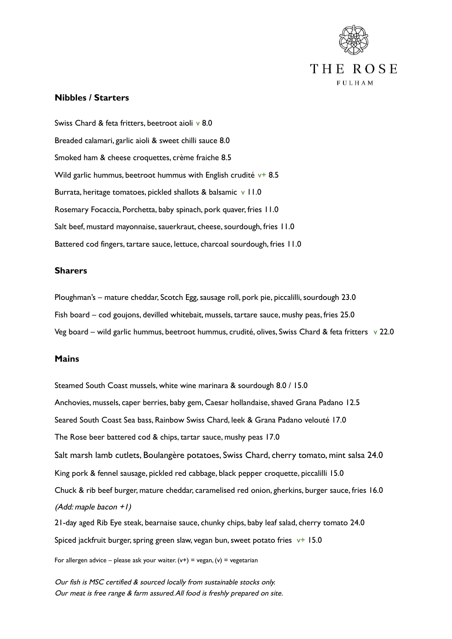

## **Nibbles / Starters**

Swiss Chard & feta fritters, beetroot aioli v 8.0 Breaded calamari, garlic aioli & sweet chilli sauce 8.0 Smoked ham & cheese croquettes, crème fraiche 8.5 Wild garlic hummus, beetroot hummus with English crudité  $v+8.5$ Burrata, heritage tomatoes, pickled shallots & balsamic v 11.0 Rosemary Focaccia, Porchetta, baby spinach, pork quaver, fries 11.0 Salt beef, mustard mayonnaise, sauerkraut, cheese, sourdough, fries 11.0 Battered cod fingers, tartare sauce, lettuce, charcoal sourdough, fries 11.0

## **Sharers**

Ploughman's – mature cheddar, Scotch Egg, sausage roll, pork pie, piccalilli, sourdough 23.0 Fish board – cod goujons, devilled whitebait, mussels, tartare sauce, mushy peas, fries 25.0 Veg board – wild garlic hummus, beetroot hummus, crudité, olives, Swiss Chard & feta fritters  $\sqrt{22.0}$ 

## **Mains**

Steamed South Coast mussels, white wine marinara & sourdough 8.0 / 15.0 Anchovies, mussels, caper berries, baby gem, Caesar hollandaise, shaved Grana Padano 12.5 Seared South Coast Sea bass, Rainbow Swiss Chard, leek & Grana Padano velouté 17.0 The Rose beer battered cod & chips, tartar sauce, mushy peas 17.0 Salt marsh lamb cutlets, Boulangère potatoes, Swiss Chard, cherry tomato, mint salsa 24.0 King pork & fennel sausage, pickled red cabbage, black pepper croquette, piccalilli 15.0 Chuck & rib beef burger, mature cheddar, caramelised red onion, gherkins, burger sauce, fries 16.0 (Add: maple bacon +1)

21-day aged Rib Eye steak, bearnaise sauce, chunky chips, baby leaf salad, cherry tomato 24.0 Spiced jackfruit burger, spring green slaw, vegan bun, sweet potato fries  $v+ 15.0$ 

For allergen advice – please ask your waiter.  $(v+)$  = vegan,  $(v)$  = vegetarian

Our fish is MSC certified & sourced locally from sustainable stocks only. Our meat is free range & farm assured.All food is freshly prepared on site.